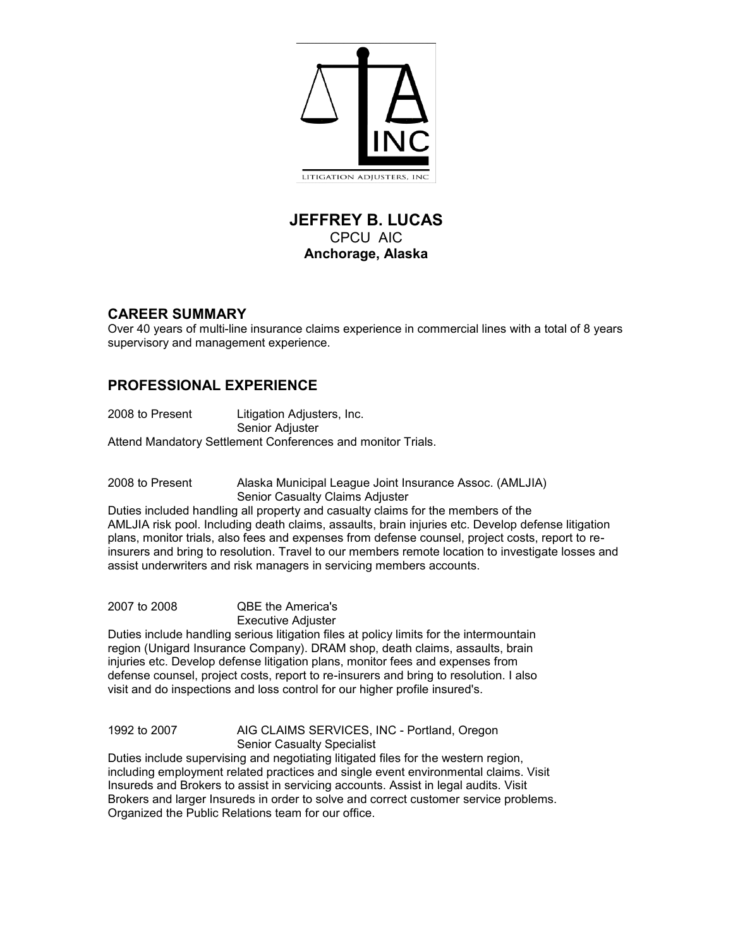

## **JEFFREY B. LUCAS** CPCU AIC **Anchorage, Alaska**

### **CAREER SUMMARY**

Over 40 years of multi-line insurance claims experience in commercial lines with a total of 8 years supervisory and management experience.

### **PROFESSIONAL EXPERIENCE**

2008 to Present Litigation Adjusters, Inc. Senior Adjuster Attend Mandatory Settlement Conferences and monitor Trials.

2008 to Present Alaska Municipal League Joint Insurance Assoc. (AMLJIA) Senior Casualty Claims Adjuster

Duties included handling all property and casualty claims for the members of the AMLJIA risk pool. Including death claims, assaults, brain injuries etc. Develop defense litigation plans, monitor trials, also fees and expenses from defense counsel, project costs, report to reinsurers and bring to resolution. Travel to our members remote location to investigate losses and assist underwriters and risk managers in servicing members accounts.

2007 to 2008 QBE the America's

Executive Adjuster Duties include handling serious litigation files at policy limits for the intermountain region (Unigard Insurance Company). DRAM shop, death claims, assaults, brain injuries etc. Develop defense litigation plans, monitor fees and expenses from defense counsel, project costs, report to re-insurers and bring to resolution. I also visit and do inspections and loss control for our higher profile insured's.

### 1992 to 2007 AIG CLAIMS SERVICES, INC - Portland, Oregon Senior Casualty Specialist

Duties include supervising and negotiating litigated files for the western region, including employment related practices and single event environmental claims. Visit Insureds and Brokers to assist in servicing accounts. Assist in legal audits. Visit Brokers and larger Insureds in order to solve and correct customer service problems. Organized the Public Relations team for our office.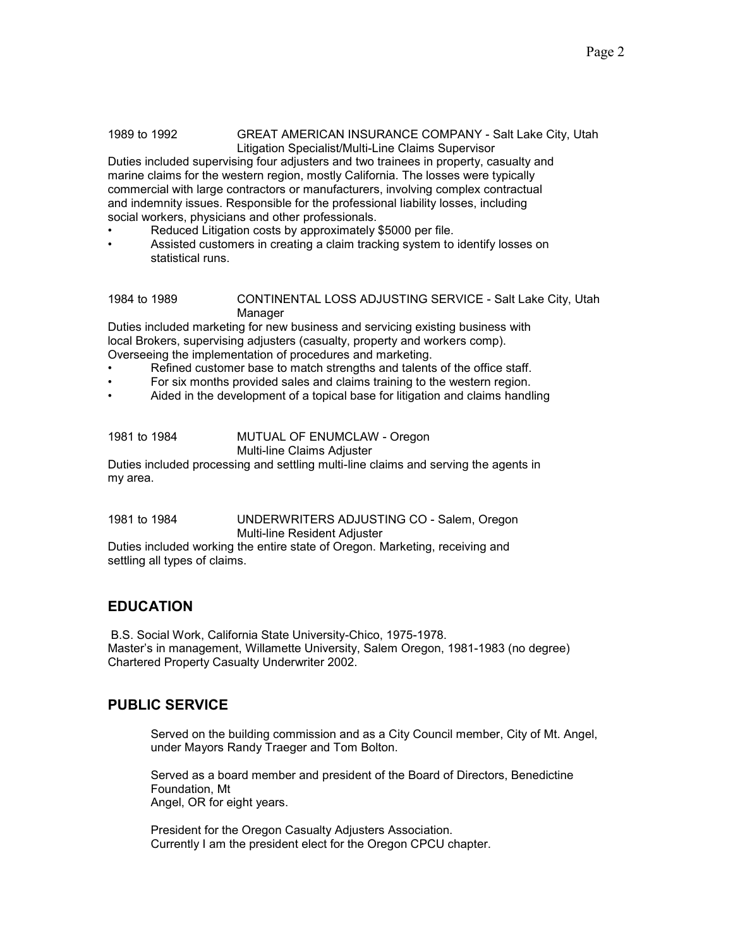#### 1989 to 1992 GREAT AMERICAN INSURANCE COMPANY - Salt Lake City, Utah Litigation Specialist/Multi-Line Claims Supervisor

Duties included supervising four adjusters and two trainees in property, casualty and marine claims for the western region, mostly California. The losses were typically commercial with large contractors or manufacturers, involving complex contractual and indemnity issues. Responsible for the professional liability losses, including social workers, physicians and other professionals.

- Reduced Litigation costs by approximately \$5000 per file.
- Assisted customers in creating a claim tracking system to identify losses on statistical runs.

#### 1984 to 1989 CONTINENTAL LOSS ADJUSTING SERVICE - Salt Lake City, Utah Manager

Duties included marketing for new business and servicing existing business with local Brokers, supervising adjusters (casualty, property and workers comp). Overseeing the implementation of procedures and marketing.

- Refined customer base to match strengths and talents of the office staff.
- For six months provided sales and claims training to the western region.
- Aided in the development of a topical base for litigation and claims handling

1981 to 1984 MUTUAL OF ENUMCLAW - Oregon Multi-line Claims Adjuster Duties included processing and settling multi-line claims and serving the agents in my area.

1981 to 1984 UNDERWRITERS ADJUSTING CO - Salem, Oregon Multi-line Resident Adjuster

Duties included working the entire state of Oregon. Marketing, receiving and settling all types of claims.

### **EDUCATION**

B.S. Social Work, California State University-Chico, 1975-1978. Master's in management, Willamette University, Salem Oregon, 1981-1983 (no degree) Chartered Property Casualty Underwriter 2002.

### **PUBLIC SERVICE**

Served on the building commission and as a City Council member, City of Mt. Angel, under Mayors Randy Traeger and Tom Bolton.

Served as a board member and president of the Board of Directors, Benedictine Foundation, Mt Angel, OR for eight years.

President for the Oregon Casualty Adjusters Association. Currently I am the president elect for the Oregon CPCU chapter.